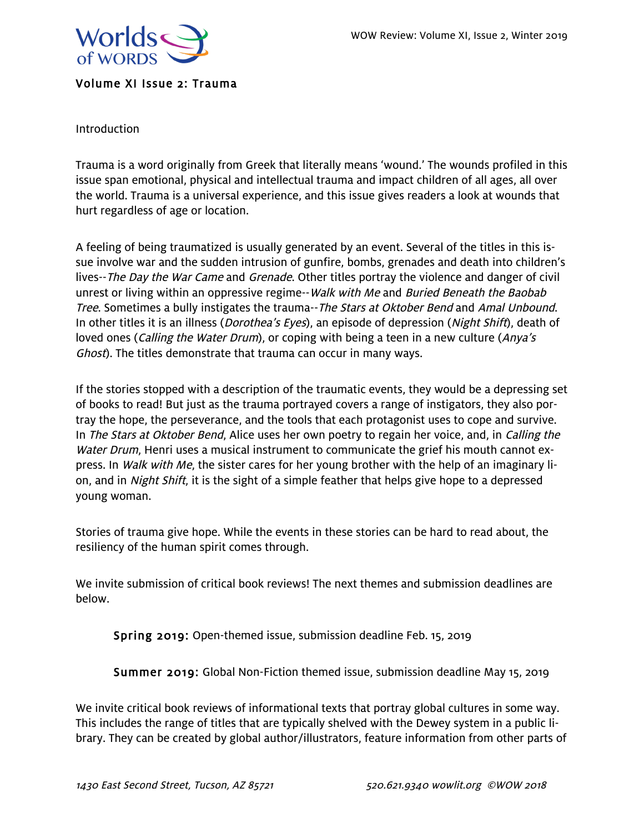

## Volume XI Issue 2: Trauma

Introduction

Trauma is a word originally from Greek that literally means 'wound.' The wounds profiled in this issue span emotional, physical and intellectual trauma and impact children of all ages, all over the world. Trauma is a universal experience, and this issue gives readers a look at wounds that hurt regardless of age or location.

A feeling of being traumatized is usually generated by an event. Several of the titles in this issue involve war and the sudden intrusion of gunfire, bombs, grenades and death into children's lives--The Day the War Came and Grenade. Other titles portray the violence and danger of civil unrest or living within an oppressive regime--Walk with Me and Buried Beneath the Baobab Tree. Sometimes a bully instigates the trauma--The Stars at Oktober Bend and Amal Unbound. In other titles it is an illness (*Dorothea's Eyes*), an episode of depression (*Night Shift*), death of loved ones (*Calling the Water Drum*), or coping with being a teen in a new culture (*Anya's* Ghost). The titles demonstrate that trauma can occur in many ways.

If the stories stopped with a description of the traumatic events, they would be a depressing set of books to read! But just as the trauma portrayed covers a range of instigators, they also portray the hope, the perseverance, and the tools that each protagonist uses to cope and survive. In The Stars at Oktober Bend, Alice uses her own poetry to regain her voice, and, in Calling the Water Drum, Henri uses a musical instrument to communicate the grief his mouth cannot express. In *Walk with Me*, the sister cares for her young brother with the help of an imaginary lion, and in Night Shift, it is the sight of a simple feather that helps give hope to a depressed young woman.

Stories of trauma give hope. While the events in these stories can be hard to read about, the resiliency of the human spirit comes through.

We invite submission of critical book reviews! The next themes and submission deadlines are below.

Spring 2019: Open-themed issue, submission deadline Feb. 15, 2019

Summer 2019: Global Non-Fiction themed issue, submission deadline May 15, 2019

We invite critical book reviews of informational texts that portray global cultures in some way. This includes the range of titles that are typically shelved with the Dewey system in a public library. They can be created by global author/illustrators, feature information from other parts of